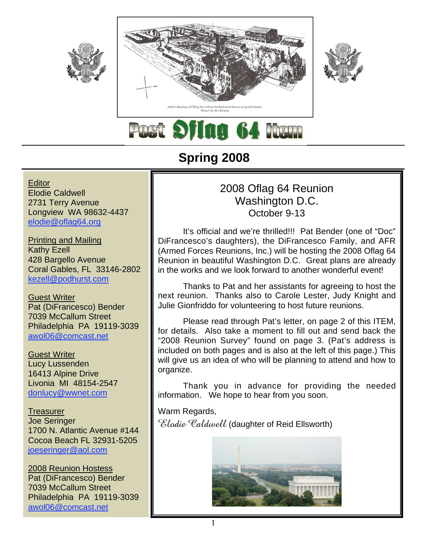





**Flag 64 Rem** 

# **Spring 2008**

**Editor** Elodie Caldwell 2731 Terry Avenue Longview WA 98632-4437 elodie@oflag64.org

Printing and Mailing Kathy Ezell 428 Bargello Avenue Coral Gables, FL 33146-2802 kezell@podhurst.com

Guest Writer Pat (DiFrancesco) Bender 7039 McCallum Street Philadelphia PA 19119-3039 awol06@comcast.net

Guest Writer Lucy Lussenden 16413 Alpine Drive Livonia MI 48154-2547 donlucy@wwnet.com

**Treasurer** Joe Seringer 1700 N. Atlantic Avenue #144 Cocoa Beach FL 32931-5205 joeseringer@aol.com

2008 Reunion Hostess Pat (DiFrancesco) Bender 7039 McCallum Street Philadelphia PA 19119-3039 awol06@comcast.net

## 2008 Oflag 64 Reunion Washington D.C. October 9-13

It's official and we're thrilled!!! Pat Bender (one of "Doc" DiFrancesco's daughters), the DiFrancesco Family, and AFR (Armed Forces Reunions, Inc.) will be hosting the 2008 Oflag 64 Reunion in beautiful Washington D.C. Great plans are already in the works and we look forward to another wonderful event!

Thanks to Pat and her assistants for agreeing to host the next reunion. Thanks also to Carole Lester, Judy Knight and Julie Gionfriddo for volunteering to host future reunions.

Please read through Pat's letter, on page 2 of this ITEM, for details. Also take a moment to fill out and send back the "2008 Reunion Survey" found on page 3. (Pat's address is included on both pages and is also at the left of this page.) This will give us an idea of who will be planning to attend and how to organize.

Thank you in advance for providing the needed information. We hope to hear from you soon.

Warm Regards, Elodie Caldwell (daughter of Reid Ellsworth)

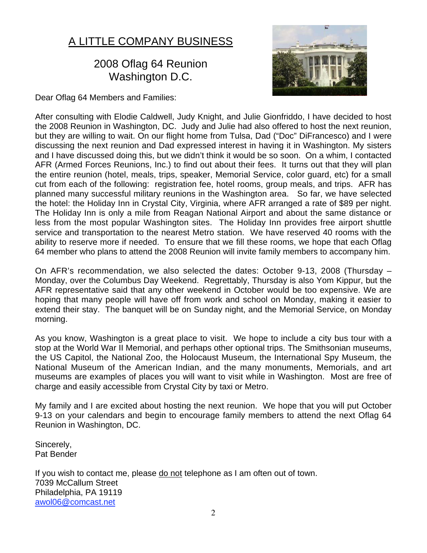# A LITTLE COMPANY BUSINESS

#### 2008 Oflag 64 Reunion Washington D.C.

Dear Oflag 64 Members and Families:



After consulting with Elodie Caldwell, Judy Knight, and Julie Gionfriddo, I have decided to host the 2008 Reunion in Washington, DC. Judy and Julie had also offered to host the next reunion, but they are willing to wait. On our flight home from Tulsa, Dad ("Doc" DiFrancesco) and I were discussing the next reunion and Dad expressed interest in having it in Washington. My sisters and I have discussed doing this, but we didn't think it would be so soon. On a whim, I contacted AFR (Armed Forces Reunions, Inc.) to find out about their fees. It turns out that they will plan the entire reunion (hotel, meals, trips, speaker, Memorial Service, color guard, etc) for a small cut from each of the following: registration fee, hotel rooms, group meals, and trips. AFR has planned many successful military reunions in the Washington area. So far, we have selected the hotel: the Holiday Inn in Crystal City, Virginia, where AFR arranged a rate of \$89 per night. The Holiday Inn is only a mile from Reagan National Airport and about the same distance or less from the most popular Washington sites. The Holiday Inn provides free airport shuttle service and transportation to the nearest Metro station. We have reserved 40 rooms with the ability to reserve more if needed. To ensure that we fill these rooms, we hope that each Oflag 64 member who plans to attend the 2008 Reunion will invite family members to accompany him.

On AFR's recommendation, we also selected the dates: October 9-13, 2008 (Thursday – Monday, over the Columbus Day Weekend. Regrettably, Thursday is also Yom Kippur, but the AFR representative said that any other weekend in October would be too expensive. We are hoping that many people will have off from work and school on Monday, making it easier to extend their stay. The banquet will be on Sunday night, and the Memorial Service, on Monday morning.

As you know, Washington is a great place to visit. We hope to include a city bus tour with a stop at the World War II Memorial, and perhaps other optional trips. The Smithsonian museums, the US Capitol, the National Zoo, the Holocaust Museum, the International Spy Museum, the National Museum of the American Indian, and the many monuments, Memorials, and art museums are examples of places you will want to visit while in Washington. Most are free of charge and easily accessible from Crystal City by taxi or Metro.

My family and I are excited about hosting the next reunion. We hope that you will put October 9-13 on your calendars and begin to encourage family members to attend the next Oflag 64 Reunion in Washington, DC.

Sincerely, Pat Bender

If you wish to contact me, please do not telephone as I am often out of town. 7039 McCallum Street Philadelphia, PA 19119 awol06@comcast.net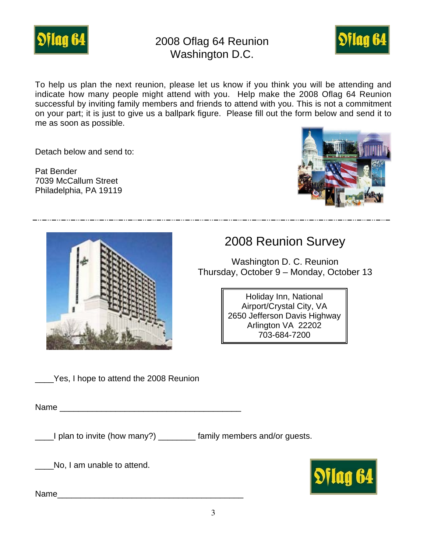

## 2008 Oflag 64 Reunion Washington D.C.



To help us plan the next reunion, please let us know if you think you will be attending and indicate how many people might attend with you. Help make the 2008 Oflag 64 Reunion successful by inviting family members and friends to attend with you. This is not a commitment on your part; it is just to give us a ballpark figure. Please fill out the form below and send it to me as soon as possible.

Detach below and send to:

Pat Bender 7039 McCallum Street Philadelphia, PA 19119





# 2008 Reunion Survey

Washington D. C. Reunion Thursday, October 9 – Monday, October 13

> Holiday Inn, National Airport/Crystal City, VA 2650 Jefferson Davis Highway Arlington VA 22202 703-684-7200

\_\_\_\_Yes, I hope to attend the 2008 Reunion

Name was also as a set of the set of the set of the set of the set of the set of the set of the set of the set of the set of the set of the set of the set of the set of the set of the set of the set of the set of the set o

\_\_\_\_I plan to invite (how many?) \_\_\_\_\_\_\_\_ family members and/or guests.

No, I am unable to attend.

Name\_\_\_\_\_\_\_\_\_\_\_\_\_\_\_\_\_\_\_\_\_\_\_\_\_\_\_\_\_\_\_\_\_\_\_\_\_\_\_\_

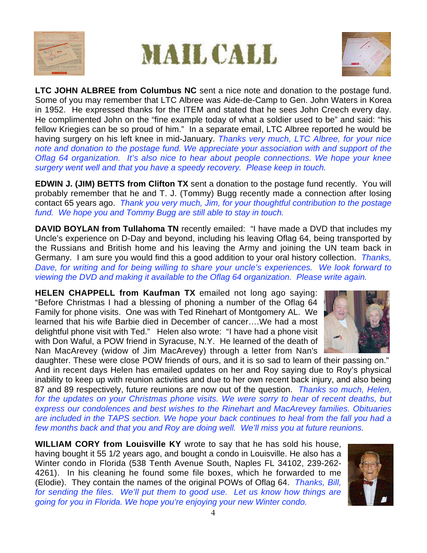





**LTC JOHN ALBREE from Columbus NC** sent a nice note and donation to the postage fund. Some of you may remember that LTC Albree was Aide-de-Camp to Gen. John Waters in Korea in 1952. He expressed thanks for the ITEM and stated that he sees John Creech every day. He complimented John on the "fine example today of what a soldier used to be" and said: "his fellow Kriegies can be so proud of him." In a separate email, LTC Albree reported he would be having surgery on his left knee in mid-January. *Thanks very much, LTC Albree, for your nice note and donation to the postage fund. We appreciate your association with and support of the Oflag 64 organization. It's also nice to hear about people connections. We hope your knee surgery went well and that you have a speedy recovery. Please keep in touch.*

**EDWIN J. (JIM) BETTS from Clifton TX** sent a donation to the postage fund recently. You will probably remember that he and T. J. (Tommy) Bugg recently made a connection after losing contact 65 years ago. *Thank you very much, Jim, for your thoughtful contribution to the postage fund. We hope you and Tommy Bugg are still able to stay in touch.*

**DAVID BOYLAN from Tullahoma TN** recently emailed: "I have made a DVD that includes my Uncle's experience on D-Day and beyond, including his leaving Oflag 64, being transported by the Russians and British home and his leaving the Army and joining the UN team back in Germany. I am sure you would find this a good addition to your oral history collection. *Thanks, Dave, for writing and for being willing to share your uncle's experiences. We look forward to viewing the DVD and making it available to the Oflag 64 organization. Please write again.*

**HELEN CHAPPELL from Kaufman TX** emailed not long ago saying: "Before Christmas I had a blessing of phoning a number of the Oflag 64 Family for phone visits. One was with Ted Rinehart of Montgomery AL. We learned that his wife Barbie died in December of cancer….We had a most delightful phone visit with Ted." Helen also wrote: "I have had a phone visit with Don Waful, a POW friend in Syracuse, N.Y. He learned of the death of Nan MacArevey (widow of Jim MacArevey) through a letter from Nan's



daughter. These were close POW friends of ours, and it is so sad to learn of their passing on." And in recent days Helen has emailed updates on her and Roy saying due to Roy's physical inability to keep up with reunion activities and due to her own recent back injury, and also being 87 and 89 respectively, future reunions are now out of the question. *Thanks so much, Helen, for the updates on your Christmas phone visits. We were sorry to hear of recent deaths, but express our condolences and best wishes to the Rinehart and MacArevey families. Obituaries are included in the TAPS section. We hope your back continues to heal from the fall you had a few months back and that you and Roy are doing well. We'll miss you at future reunions.*

**WILLIAM CORY from Louisville KY** wrote to say that he has sold his house, having bought it 55 1/2 years ago, and bought a condo in Louisville. He also has a Winter condo in Florida (538 Tenth Avenue South, Naples FL 34102, 239-262- 4261). In his cleaning he found some file boxes, which he forwarded to me (Elodie). They contain the names of the original POWs of Oflag 64. *Thanks, Bill, for sending the files. We'll put them to good use. Let us know how things are going for you in Florida. We hope you're enjoying your new Winter condo.*

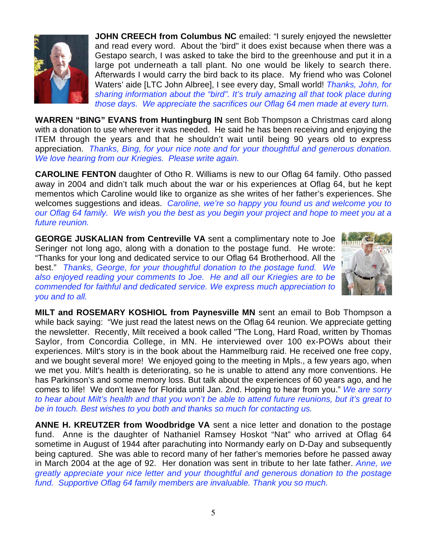

**JOHN CREECH from Columbus NC** emailed: "I surely enjoyed the newsletter and read every word. About the 'bird" it does exist because when there was a Gestapo search, I was asked to take the bird to the greenhouse and put it in a large pot underneath a tall plant. No one would be likely to search there. Afterwards I would carry the bird back to its place. My friend who was Colonel Waters' aide [LTC John Albree], I see every day, Small world! *Thanks, John, for sharing information about the "bird". It's truly amazing all that took place during those days. We appreciate the sacrifices our Oflag 64 men made at every turn.*

**WARREN "BING" EVANS from Huntingburg IN** sent Bob Thompson a Christmas card along with a donation to use wherever it was needed. He said he has been receiving and enjoying the ITEM through the years and that he shouldn't wait until being 90 years old to express appreciation. *Thanks, Bing, for your nice note and for your thoughtful and generous donation. We love hearing from our Kriegies. Please write again.*

**CAROLINE FENTON** daughter of Otho R. Williams is new to our Oflag 64 family. Otho passed away in 2004 and didn't talk much about the war or his experiences at Oflag 64, but he kept mementos which Caroline would like to organize as she writes of her father's experiences. She welcomes suggestions and ideas. *Caroline, we're so happy you found us and welcome you to our Oflag 64 family. We wish you the best as you begin your project and hope to meet you at a future reunion.*

**GEORGE JUSKALIAN from Centreville VA** sent a complimentary note to Joe Seringer not long ago, along with a donation to the postage fund. He wrote: "Thanks for your long and dedicated service to our Oflag 64 Brotherhood. All the best." *Thanks, George, for your thoughtful donation to the postage fund. We also enjoyed reading your comments to Joe. He and all our Kriegies are to be commended for faithful and dedicated service. We express much appreciation to you and to all.*



**MILT and ROSEMARY KOSHIOL from Paynesville MN** sent an email to Bob Thompson a while back saying: "We just read the latest news on the Oflag 64 reunion. We appreciate getting the newsletter. Recently, Milt received a book called "The Long, Hard Road, written by Thomas Saylor, from Concordia College, in MN. He interviewed over 100 ex-POWs about their experiences. Milt's story is in the book about the Hammelburg raid. He received one free copy, and we bought several more! We enjoyed going to the meeting in Mpls., a few years ago, when we met you. Milt's health is deteriorating, so he is unable to attend any more conventions. He has Parkinson's and some memory loss. But talk about the experiences of 60 years ago, and he comes to life! We don't leave for Florida until Jan. 2nd. Hoping to hear from you." *We are sorry to hear about Milt's health and that you won't be able to attend future reunions, but it's great to be in touch. Best wishes to you both and thanks so much for contacting us.*

**ANNE H. KREUTZER from Woodbridge VA** sent a nice letter and donation to the postage fund. Anne is the daughter of Nathaniel Ramsey Hoskot "Nat" who arrived at Oflag 64 sometime in August of 1944 after parachuting into Normandy early on D-Day and subsequently being captured. She was able to record many of her father's memories before he passed away in March 2004 at the age of 92. Her donation was sent in tribute to her late father. *Anne, we greatly appreciate your nice letter and your thoughtful and generous donation to the postage fund. Supportive Oflag 64 family members are invaluable. Thank you so much.*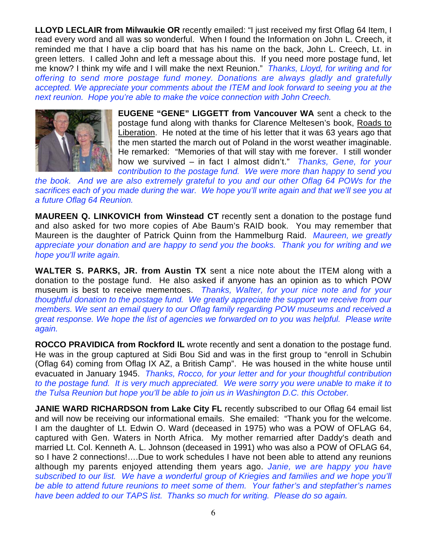**LLOYD LECLAIR from Milwaukie OR** recently emailed: "I just received my first Oflag 64 Item, I read every word and all was so wonderful. When I found the Information on John L. Creech, it reminded me that I have a clip board that has his name on the back, John L. Creech, Lt. in green letters. I called John and left a message about this. If you need more postage fund, let me know? I think my wife and I will make the next Reunion." *Thanks, Lloyd, for writing and for offering to send more postage fund money. Donations are always gladly and gratefully accepted. We appreciate your comments about the ITEM and look forward to seeing you at the next reunion. Hope you're able to make the voice connection with John Creech.*



**EUGENE "GENE" LIGGETT from Vancouver WA** sent a check to the postage fund along with thanks for Clarence Meltesen's book, Roads to Liberation. He noted at the time of his letter that it was 63 years ago that the men started the march out of Poland in the worst weather imaginable. He remarked: "Memories of that will stay with me forever. I still wonder how we survived – in fact I almost didn't." *Thanks, Gene, for your contribution to the postage fund. We were more than happy to send you*

*the book. And we are also extremely grateful to you and our other Oflag 64 POWs for the sacrifices each of you made during the war. We hope you'll write again and that we'll see you at a future Oflag 64 Reunion.*

**MAUREEN Q. LINKOVICH from Winstead CT** recently sent a donation to the postage fund and also asked for two more copies of Abe Baum's RAID book. You may remember that Maureen is the daughter of Patrick Quinn from the Hammelburg Raid. *Maureen, we greatly appreciate your donation and are happy to send you the books. Thank you for writing and we hope you'll write again.*

**WALTER S. PARKS, JR. from Austin TX** sent a nice note about the ITEM along with a donation to the postage fund. He also asked if anyone has an opinion as to which POW museum is best to receive mementoes. *Thanks, Walter, for your nice note and for your thoughtful donation to the postage fund. We greatly appreciate the support we receive from our members. We sent an email query to our Oflag family regarding POW museums and received a great response. We hope the list of agencies we forwarded on to you was helpful. Please write again.*

**ROCCO PRAVIDICA from Rockford IL** wrote recently and sent a donation to the postage fund. He was in the group captured at Sidi Bou Sid and was in the first group to "enroll in Schubin (Oflag 64) coming from Oflag IX AZ, a British Camp". He was housed in the white house until evacuated in January 1945. *Thanks, Rocco, for your letter and for your thoughtful contribution to the postage fund. It is very much appreciated. We were sorry you were unable to make it to the Tulsa Reunion but hope you'll be able to join us in Washington D.C. this October.*

**JANIE WARD RICHARDSON from Lake City FL** recently subscribed to our Oflag 64 email list and will now be receiving our informational emails. She emailed: "Thank you for the welcome. I am the daughter of Lt. Edwin O. Ward (deceased in 1975) who was a POW of OFLAG 64, captured with Gen. Waters in North Africa. My mother remarried after Daddy's death and married Lt. Col. Kenneth A. L. Johnson (deceased in 1991) who was also a POW of OFLAG 64, so I have 2 connections!....Due to work schedules I have not been able to attend any reunions although my parents enjoyed attending them years ago. *Janie, we are happy you have subscribed to our list. We have a wonderful group of Kriegies and families and we hope you'll be able to attend future reunions to meet some of them. Your father's and stepfather's names have been added to our TAPS list. Thanks so much for writing. Please do so again.*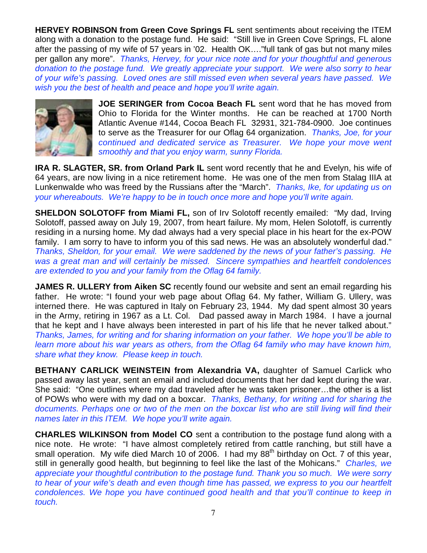**HERVEY ROBINSON from Green Cove Springs FL** sent sentiments about receiving the ITEM along with a donation to the postage fund. He said: "Still live in Green Cove Springs, FL alone after the passing of my wife of 57 years in '02. Health OK…."full tank of gas but not many miles per gallon any more". *Thanks, Hervey, for your nice note and for your thoughtful and generous donation to the postage fund. We greatly appreciate your support. We were also sorry to hear of your wife's passing. Loved ones are still missed even when several years have passed. We wish you the best of health and peace and hope you'll write again.*



**JOE SERINGER from Cocoa Beach FL** sent word that he has moved from Ohio to Florida for the Winter months. He can be reached at 1700 North Atlantic Avenue #144, Cocoa Beach FL 32931, 321-784-0900. Joe continues to serve as the Treasurer for our Oflag 64 organization. *Thanks, Joe, for your continued and dedicated service as Treasurer. We hope your move went smoothly and that you enjoy warm, sunny Florida.*

**IRA R. SLAGTER, SR. from Orland Park IL** sent word recently that he and Evelyn, his wife of 64 years, are now living in a nice retirement home. He was one of the men from Stalag IIIA at Lunkenwalde who was freed by the Russians after the "March". *Thanks, Ike, for updating us on your whereabouts. We're happy to be in touch once more and hope you'll write again.*

**SHELDON SOLOTOFF from Miami FL, son of Irv Solotoff recently emailed: "My dad, Irving** Solotoff, passed away on July 19, 2007, from heart failure. My mom, Helen Solotoff, is currently residing in a nursing home. My dad always had a very special place in his heart for the ex-POW family. I am sorry to have to inform you of this sad news. He was an absolutely wonderful dad." *Thanks, Sheldon, for your email. We were saddened by the news of your father's passing. He was a great man and will certainly be missed. Sincere sympathies and heartfelt condolences are extended to you and your family from the Oflag 64 family.*

**JAMES R. ULLERY from Aiken SC** recently found our website and sent an email regarding his father. He wrote: "I found your web page about Oflag 64. My father, William G. Ullery, was interned there. He was captured in Italy on February 23, 1944. My dad spent almost 30 years in the Army, retiring in 1967 as a Lt. Col. Dad passed away in March 1984. I have a journal that he kept and I have always been interested in part of his life that he never talked about." *Thanks, James, for writing and for sharing information on your father. We hope you'll be able to learn more about his war years as others, from the Oflag 64 family who may have known him, share what they know. Please keep in touch.*

**BETHANY CARLICK WEINSTEIN from Alexandria VA, daughter of Samuel Carlick who** passed away last year, sent an email and included documents that her dad kept during the war. She said: "One outlines where my dad traveled after he was taken prisoner…the other is a list of POWs who were with my dad on a boxcar. *Thanks, Bethany, for writing and for sharing the documents. Perhaps one or two of the men on the boxcar list who are still living will find their names later in this ITEM. We hope you'll write again.*

**CHARLES WILKINSON from Model CO** sent a contribution to the postage fund along with a nice note. He wrote: "I have almost completely retired from cattle ranching, but still have a small operation. My wife died March 10 of 2006. I had my  $88<sup>th</sup>$  birthday on Oct. 7 of this year, still in generally good health, but beginning to feel like the last of the Mohicans." *Charles, we appreciate your thoughtful contribution to the postage fund. Thank you so much. We were sorry to hear of your wife's death and even though time has passed, we express to you our heartfelt condolences. We hope you have continued good health and that you'll continue to keep in touch.*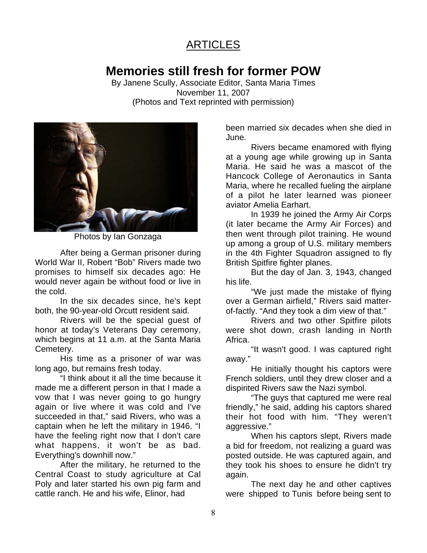## **ARTICLES**

# **Memories still fresh for former POW**

By Janene Scully, Associate Editor, Santa Maria Times November 11, 2007 (Photos and Text reprinted with permission)



Photos by Ian Gonzaga

After being a German prisoner during World War II, Robert "Bob" Rivers made two promises to himself six decades ago: He would never again be without food or live in the cold.

In the six decades since, he's kept both, the 90-year-old Orcutt resident said.

Rivers will be the special guest of honor at today's Veterans Day ceremony, which begins at 11 a.m. at the Santa Maria Cemetery.

His time as a prisoner of war was long ago, but remains fresh today.

"I think about it all the time because it made me a different person in that I made a vow that I was never going to go hungry again or live where it was cold and I've succeeded in that," said Rivers, who was a captain when he left the military in 1946. "I have the feeling right now that I don't care what happens, it won't be as bad. Everything's downhill now."

After the military, he returned to the Central Coast to study agriculture at Cal Poly and later started his own pig farm and cattle ranch. He and his wife, Elinor, had

been married six decades when she died in June.

Rivers became enamored with flying at a young age while growing up in Santa Maria. He said he was a mascot of the Hancock College of Aeronautics in Santa Maria, where he recalled fueling the airplane of a pilot he later learned was pioneer aviator Amelia Earhart.

In 1939 he joined the Army Air Corps (it later became the Army Air Forces) and then went through pilot training. He wound up among a group of U.S. military members in the 4th Fighter Squadron assigned to fly British Spitfire fighter planes.

But the day of Jan. 3, 1943, changed his life.

"We just made the mistake of flying over a German airfield," Rivers said matterof-factly. "And they took a dim view of that."

Rivers and two other Spitfire pilots were shot down, crash landing in North Africa.

"It wasn't good. I was captured right away."

He initially thought his captors were French soldiers, until they drew closer and a dispirited Rivers saw the Nazi symbol.

"The guys that captured me were real friendly," he said, adding his captors shared their hot food with him. "They weren't aggressive."

When his captors slept, Rivers made a bid for freedom, not realizing a guard was posted outside. He was captured again, and they took his shoes to ensure he didn't try again.

The next day he and other captives were shipped to Tunis before being sent to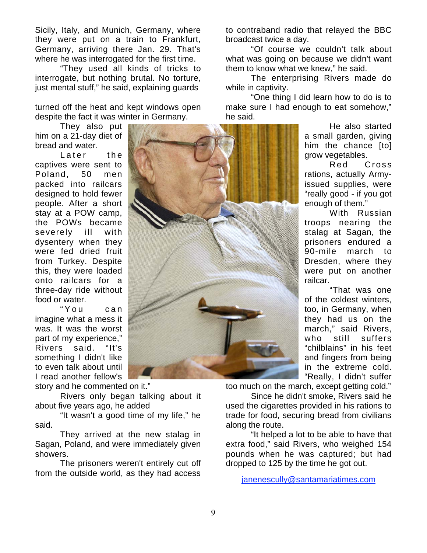Sicily, Italy, and Munich, Germany, where they were put on a train to Frankfurt, Germany, arriving there Jan. 29. That's where he was interrogated for the first time.

"They used all kinds of tricks to interrogate, but nothing brutal. No torture, just mental stuff," he said, explaining guards

turned off the heat and kept windows open despite the fact it was winter in Germany.

They also put him on a 21-day diet of bread and water.

Later the captives were sent to Poland, 50 men packed into railcars designed to hold fewer people. After a short stay at a POW camp, the POWs became severely ill with dysentery when they were fed dried fruit from Turkey. Despite this, they were loaded onto railcars for a three-day ride without food or water.

"You can imagine what a mess it was. It was the worst part of my experience," Rivers said. "It's something I didn't like to even talk about until I read another fellow's

story and he commented on it."

Rivers only began talking about it about five years ago, he added

"It wasn't a good time of my life," he said.

They arrived at the new stalag in Sagan, Poland, and were immediately given showers.

The prisoners weren't entirely cut off from the outside world, as they had access to contraband radio that relayed the BBC broadcast twice a day.

"Of course we couldn't talk about what was going on because we didn't want them to know what we knew," he said.

The enterprising Rivers made do while in captivity.

"One thing I did learn how to do is to make sure I had enough to eat somehow," he said.

> He also started a small garden, giving him the chance [to] grow vegetables.

> Red Cross rations, actually Armyissued supplies, were "really good - if you got enough of them."

> With Russian troops nearing the stalag at Sagan, the prisoners endured a 90-mile march to Dresden, where they were put on another railcar.

> "That was one of the coldest winters, too, in Germany, when they had us on the march," said Rivers, who still suffers "chilblains" in his feet and fingers from being in the extreme cold. "Really, I didn't suffer

too much on the march, except getting cold."

Since he didn't smoke, Rivers said he used the cigarettes provided in his rations to trade for food, securing bread from civilians along the route.

"It helped a lot to be able to have that extra food," said Rivers, who weighed 154 pounds when he was captured; but had dropped to 125 by the time he got out.

janenescully@santamariatimes.com

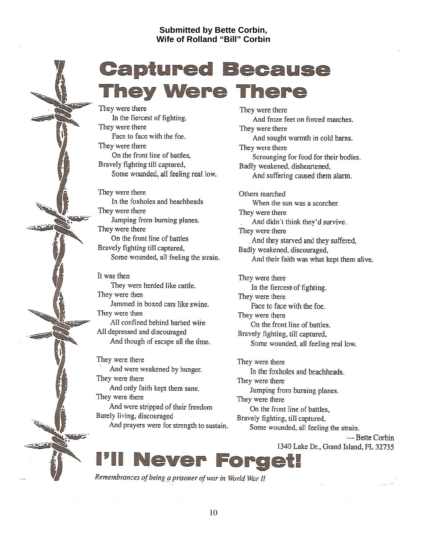#### **Submitted by Bette Corbin, Wife of Rolland "Bill" Corbin**

# **Captured Because They Were There**

They were there In the fiercest of fighting. They were there Face to face with the foe. They were there On the front line of battles, Bravely fighting till captured, Some wounded, all feeling real low.

They were there In the foxholes and beachheads They were there Jumping from burning planes. They were there On the front line of battles Bravely fighting till captured. Some wounded, all feeling the strain.

It was then They were herded like cattle. They were then Jammed in boxed cars like swine. They were then All confined behind barbed wire All depressed and discouraged And though of escape all the time.

They were there And were weakened by hunger. They were there And only faith kept them sane. They were there And were stripped of their freedom Barely living, discouraged

And prayers were for strength to sustain.

They were there And froze feet on forced marches. They were there And sought warmth in cold barns. They were there Scrounging for food for their bodies. Badly weakened, disheartened, And suffering caused them alarm. Others marched When the sun was a scorcher. They were there And didn't think they'd survive. They were there

And they starved and they suffered, Badly weakened, discouraged, And their faith was what kept them alive.

They were there In the fiercest of fighting. They were there Face to face with the foe. They were there On the front line of battles, Bravely fighting, till captured, Some wounded, all feeling real low.

They were there In the foxholes and beachheads. They were there Jumping from burning planes. They were there On the front line of battles, Bravely fighting, till captured, Some wounded, all feeling the strain.

> - Bette Corbin 1340 Lake Dr., Grand Island, FL 32735

Never Fo re e

Remembrances of being a prisoner of war in World War II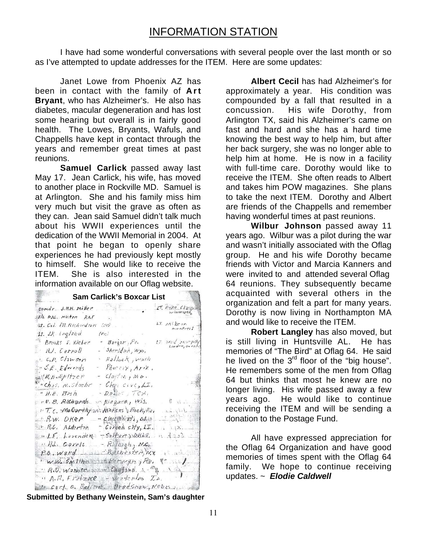I have had some wonderful conversations with several people over the last month or so as I've attempted to update addresses for the ITEM. Here are some updates:

Janet Lowe from Phoenix AZ has been in contact with the family of **Art Bryant**, who has Alzheimer's. He also has diabetes, macular degeneration and has lost some hearing but overall is in fairly good health. The Lowes, Bryants, Wafuls, and Chappells have kept in contact through the years and remember great times at past reunions.

**Samuel Carlick** passed away last May 17. Jean Carlick, his wife, has moved to another place in Rockville MD. Samuel is at Arlington. She and his family miss him very much but visit the grave as often as they can. Jean said Samuel didn't talk much about his WWII experiences until the dedication of the WWII Memorial in 2004. At that point he began to openly share experiences he had previously kept mostly to himself. She would like to receive the ITEM. She is also interested in the information available on our Oflag website.

| <b>Sam Carlick's Boxcar List</b>                                                                        |  |
|---------------------------------------------------------------------------------------------------------|--|
| IT DORE CLOPEN<br>comdr. J.N.K. miller $\mathbb{R}$                                                     |  |
| $E/L$ P.A.c., Milton RAF<br>$\mu$ T. Mikesn<br>montreel<br>W. Col. RH. Richardson (81).                 |  |
| It. $JK$ . Ingland $(Br)$                                                                               |  |
| $L$ 7. $3Pol$ , murjaky<br>Brooks F. Kleber - Bangar, Pe.<br>- Sheridan, Wyo.<br>' HJ. Carnoll          |  |
| - Hadlock, wash<br>$c_{n}$ $c_{n}$ $c_{l}$ $w$ son<br>- $H_0 \circ \eta \gamma$ , $Ariz$ ,              |  |
| $B.5.5.$ $E$ dwerds<br>- $\epsilon/\partial y \neq \epsilon \wedge y \wedge \sigma$ .<br>W. H. Ay Itzer |  |
| "Chas, M. Stochr<br>$-$ Clay, cive, LI.<br>$-Doller, TEX.$<br>" H.H. Bvsh                               |  |
| $6 - \sqrt{1}$ and $\frac{1}{2}$<br>$m$ Niegara, Wis.<br>$\therefore v$ , B. Rightarch                  |  |
| $P.R.W. OKep$ - $CINGBN371,000$                                                                         |  |
| " R.C. ALderton - Corpea city, L.I. (3.                                                                 |  |
| "LE, Lavenders TSOPFUPS OXLE, " 3302<br>$H.L.$ Garris - Rateigh, $H.C.$                                 |  |
| P.B. Ward _ si Rechester, w.x . add                                                                     |  |
| "W.W. SMITHAN BEFORDY hy Pa, P.<br>$R.D.$ Warner worse Chapped. $A - m \rightarrow N$                   |  |
| $\therefore$ A.R. Fratzue $\therefore$ verterles Is.<br>to carl G. Bediett, - Bradshaw, Nebross         |  |

**Submitted by Bethany Weinstein, Sam's daughter**

**Albert Cecil** has had Alzheimer's for approximately a year. His condition was compounded by a fall that resulted in a concussion. His wife Dorothy, from Arlington TX, said his Alzheimer's came on fast and hard and she has a hard time knowing the best way to help him, but after her back surgery, she was no longer able to help him at home. He is now in a facility with full-time care. Dorothy would like to receive the ITEM. She often reads to Albert and takes him POW magazines. She plans to take the next ITEM. Dorothy and Albert are friends of the Chappells and remember having wonderful times at past reunions.

**Wilbur Johnson** passed away 11 years ago. Wilbur was a pilot during the war and wasn't initially associated with the Oflag group. He and his wife Dorothy became friends with Victor and Marcia Kanners and were invited to and attended several Oflag 64 reunions. They subsequently became acquainted with several others in the organization and felt a part for many years. Dorothy is now living in Northampton MA and would like to receive the ITEM.

**Robert Langley** has also moved, but is still living in Huntsville AL. He has memories of "The Bird" at Oflag 64. He said he lived on the  $3<sup>rd</sup>$  floor of the "big house". He remembers some of the men from Oflag 64 but thinks that most he knew are no longer living. His wife passed away a few years ago. He would like to continue receiving the ITEM and will be sending a donation to the Postage Fund.

All have expressed appreciation for the Oflag 64 Organization and have good memories of times spent with the Oflag 64 family. We hope to continue receiving updates. ~ *Elodie Caldwell*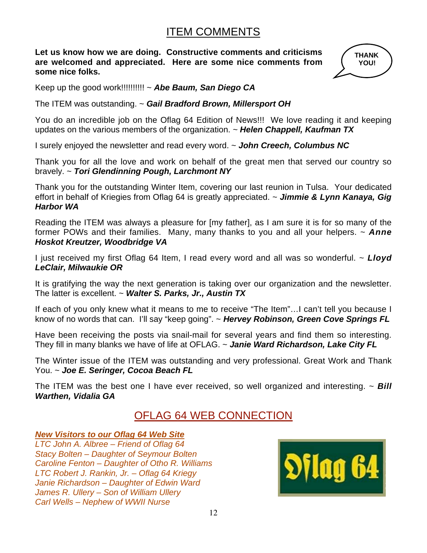## ITEM COMMENTS

**Let us know how we are doing. Constructive comments and criticisms are welcomed and appreciated. Here are some nice comments from some nice folks.**



Keep up the good work!!!!!!!!!! ~ *Abe Baum, San Diego CA*

The ITEM was outstanding. ~ *Gail Bradford Brown, Millersport OH*

You do an incredible job on the Oflag 64 Edition of News!!! We love reading it and keeping updates on the various members of the organization. *~ Helen Chappell, Kaufman TX*

I surely enjoyed the newsletter and read every word. ~ *John Creech, Columbus NC*

Thank you for all the love and work on behalf of the great men that served our country so bravely. ~ *Tori Glendinning Pough, Larchmont NY*

Thank you for the outstanding Winter Item, covering our last reunion in Tulsa. Your dedicated effort in behalf of Kriegies from Oflag 64 is greatly appreciated. ~ *Jimmie & Lynn Kanaya, Gig Harbor WA*

Reading the ITEM was always a pleasure for [my father], as I am sure it is for so many of the former POWs and their families. Many, many thanks to you and all your helpers. ~ *Anne Hoskot Kreutzer, Woodbridge VA*

I just received my first Oflag 64 Item, I read every word and all was so wonderful. ~ *Lloyd LeClair, Milwaukie OR*

It is gratifying the way the next generation is taking over our organization and the newsletter. The latter is excellent. ~ *Walter S. Parks, Jr., Austin TX*

If each of you only knew what it means to me to receive "The Item"…I can't tell you because I know of no words that can. I'll say "keep going". ~ *Hervey Robinson, Green Cove Springs FL*

Have been receiving the posts via snail-mail for several years and find them so interesting. They fill in many blanks we have of life at OFLAG. ~ *Janie Ward Richardson, Lake City FL*

The Winter issue of the ITEM was outstanding and very professional. Great Work and Thank You. ~ *Joe E. Seringer, Cocoa Beach FL*

The ITEM was the best one I have ever received, so well organized and interesting. ~ *Bill Warthen, Vidalia GA*

## OFLAG 64 WEB CONNECTION

*New Visitors to our Oflag 64 Web Site*

*LTC John A. Albree – Friend of Oflag 64 Stacy Bolten – Daughter of Seymour Bolten Caroline Fenton – Daughter of Otho R. Williams LTC Robert J. Rankin, Jr. – Oflag 64 Kriegy Janie Richardson – Daughter of Edwin Ward James R. Ullery – Son of William Ullery Carl Wells – Nephew of WWII Nurse*

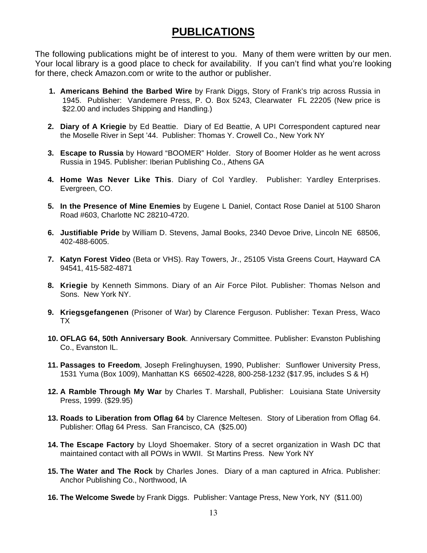## **PUBLICATIONS**

The following publications might be of interest to you. Many of them were written by our men. Your local library is a good place to check for availability. If you can't find what you're looking for there, check Amazon.com or write to the author or publisher.

- **1. Americans Behind the Barbed Wire** by Frank Diggs, Story of Frank's trip across Russia in 1945. Publisher: Vandemere Press, P. O. Box 5243, Clearwater FL 22205 (New price is \$22.00 and includes Shipping and Handling.)
- **2. Diary of A Kriegie** by Ed Beattie. Diary of Ed Beattie, A UPI Correspondent captured near the Moselle River in Sept '44.Publisher: Thomas Y. Crowell Co., New York NY
- **3. Escape to Russia** by Howard "BOOMER" Holder. Story of Boomer Holder as he went across Russia in 1945. Publisher: Iberian Publishing Co., Athens GA
- **4. Home Was Never Like This**. Diary of Col Yardley. Publisher: Yardley Enterprises. Evergreen, CO.
- **5. In the Presence of Mine Enemies** by Eugene L Daniel, Contact Rose Daniel at 5100 Sharon Road #603, Charlotte NC 28210-4720.
- **6. Justifiable Pride** by William D. Stevens, Jamal Books, 2340 Devoe Drive, Lincoln NE 68506, 402-488-6005.
- **7. Katyn Forest Video** (Beta or VHS). Ray Towers, Jr., 25105 Vista Greens Court, Hayward CA 94541, 415-582-4871
- **8. Kriegie** by Kenneth Simmons. Diary of an Air Force Pilot. Publisher: Thomas Nelson and Sons. New York NY.
- **9. Kriegsgefangenen** (Prisoner of War) by Clarence Ferguson. Publisher: Texan Press, Waco TX
- **10. OFLAG 64, 50th Anniversary Book**. Anniversary Committee. Publisher: Evanston Publishing Co., Evanston IL.
- **11. Passages to Freedom**, Joseph Frelinghuysen, 1990, Publisher: Sunflower University Press, 1531 Yuma (Box 1009), Manhattan KS 66502-4228, 800-258-1232 (\$17.95, includes S & H)
- **12. A Ramble Through My War** by Charles T. Marshall, Publisher: Louisiana State University Press, 1999. (\$29.95)
- **13. Roads to Liberation from Oflag 64** by Clarence Meltesen. Story of Liberation from Oflag 64. Publisher: Oflag 64 Press. San Francisco, CA (\$25.00)
- **14. The Escape Factory** by Lloyd Shoemaker. Story of a secret organization in Wash DC that maintained contact with all POWs in WWII. St Martins Press. New York NY
- **15. The Water and The Rock** by Charles Jones. Diary of a man captured in Africa. Publisher: Anchor Publishing Co., Northwood, IA
- **16. The Welcome Swede** by Frank Diggs. Publisher: Vantage Press, New York, NY (\$11.00)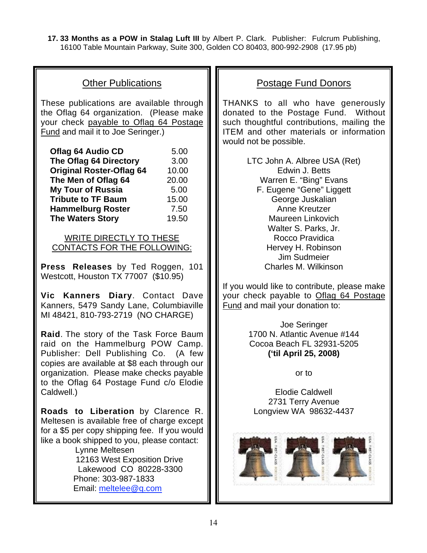**17. 33 Months as a POW in Stalag Luft III** by Albert P. Clark. Publisher: Fulcrum Publishing, 16100 Table Mountain Parkway, Suite 300, Golden CO 80403, 800-992-2908 (17.95 pb)

#### Other Publications

These publications are available through the Oflag 64 organization. (Please make your check payable to Oflag 64 Postage Fund and mail it to Joe Seringer.)

| <b>Oflag 64 Audio CD</b>        | 5.00  |
|---------------------------------|-------|
| The Oflag 64 Directory          | 3.00  |
| <b>Original Roster-Oflag 64</b> | 10.00 |
| The Men of Oflag 64             | 20.00 |
| <b>My Tour of Russia</b>        | 5.00  |
| <b>Tribute to TF Baum</b>       | 15.00 |
| <b>Hammelburg Roster</b>        | 7.50  |
| <b>The Waters Story</b>         | 19.50 |

#### WRITE DIRECTLY TO THESE CONTACTS FOR THE FOLLOWING:

**Press Releases** by Ted Roggen, 101 Westcott, Houston TX 77007 (\$10.95)

**Vic Kanners Diary**. Contact Dave Kanners, 5479 Sandy Lane, Columbiaville MI 48421, 810-793-2719 (NO CHARGE)

**Raid**. The story of the Task Force Baum raid on the Hammelburg POW Camp. Publisher: Dell Publishing Co. (A few copies are available at \$8 each through our organization. Please make checks payable to the Oflag 64 Postage Fund c/o Elodie Caldwell.)

**Roads to Liberation** by Clarence R. Meltesen is available free of charge except for a \$5 per copy shipping fee. If you would like a book shipped to you, please contact:

> Lynne Meltesen 12163 West Exposition Drive Lakewood CO 80228-3300 Phone: 303-987-1833 Email: meltelee@q.com

#### Postage Fund Donors

THANKS to all who have generously donated to the Postage Fund. Without such thoughtful contributions, mailing the ITEM and other materials or information would not be possible.

> LTC John A. Albree USA (Ret) Edwin J. Betts Warren E. "Bing" Evans F. Eugene "Gene" Liggett George Juskalian Anne Kreutzer Maureen Linkovich Walter S. Parks, Jr. Rocco Pravidica Hervey H. Robinson Jim Sudmeier Charles M. Wilkinson

If you would like to contribute, please make your check payable to Oflag 64 Postage Fund and mail your donation to:

> Joe Seringer 1700 N. Atlantic Avenue #144 Cocoa Beach FL 32931-5205 **('til April 25, 2008)**

> > or to

Elodie Caldwell 2731 Terry Avenue Longview WA 98632-4437

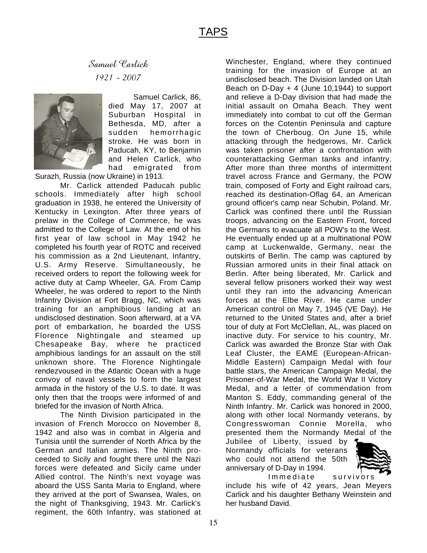Samuel Carlick 1921 - 2007



Samuel Carlick, 86, died May 17, 2007 at Suburban Hospital in Bethesda, MD, after a sudden hemorrhagic stroke. He was born in Paducah, KY, to Benjamin and Helen Carlick, who had emigrated from

Surazh, Russia (now Ukraine) in 1913.

Mr. Carlick attended Paducah public schools. Immediately after high school graduation in 1938, he entered the University of Kentucky in Lexington. After three years of prelaw in the College of Commerce, he was admitted to the College of Law. At the end of his first year of law school in May 1942 he completed his fourth year of ROTC and received his commission as a 2nd Lieutenant, Infantry, U.S. Army Reserve. Simultaneously, he received orders to report the following week for active duty at Camp Wheeler, GA. From Camp Wheeler, he was ordered to report to the Ninth Infantry Division at Fort Bragg, NC, which was training for an amphibious landing at an undisclosed destination. Soon afterward, at a VA port of embarkation, he boarded the USS Florence Nightingale and steamed up Chesapeake Bay, where he practiced amphibious landings for an assault on the still unknown shore. The Florence Nightingale rendezvoused in the Atlantic Ocean with a huge convoy of naval vessels to form the largest armada in the history of the U.S. to date. It was only then that the troops were informed of and briefed for the invasion of North Africa.

The Ninth Division participated in the invasion of French Morocco on November 8, 1942 and also was in combat in Algeria and Tunisia until the surrender of North Africa by the German and Italian armies. The Ninth proceeded to Sicily and fought there until the Nazi forces were defeated and Sicily came under Allied control. The Ninth's next voyage was aboard the USS Santa Maria to England, where they arrived at the port of Swansea, Wales, on the night of Thanksgiving, 1943. Mr. Carlick's regiment, the 60th Infantry, was stationed at

Winchester, England, where they continued training for the invasion of Europe at an undisclosed beach. The Division landed on Utah Beach on D-Day + 4 (June 10,1944) to support and relieve a D-Day division that had made the initial assault on Omaha Beach. They went immediately into combat to cut off the German forces on the Cotentin Peninsula and capture the town of Cherboug. On June 15, while attacking through the hedgerows, Mr. Carlick was taken prisoner after a confrontation with counterattacking German tanks and infantry. After more than three months of intermittent travel across France and Germany, the POW train, composed of Forty and Eight railroad cars, reached its destination-Oflag 64, an American ground officer's camp near Schubin, Poland. Mr. Carlick was confined there until the Russian troops, advancing on the Eastern Front, forced the Germans to evacuate all POW's to the West. He eventually ended up at a multinational POW camp at Luckenwalde, Germany, near the outskirts of Berlin. The camp was captured by Russian armored units in their final attack on Berlin. After being liberated, Mr. Carlick and several fellow prisoners worked their way west until they ran into the advancing American forces at the Elbe River. He came under American control on May 7, 1945 (VE Day). He returned to the United States and, after a brief tour of duty at Fort McClellan, AL, was placed on inactive duty. For service to his country, Mr. Carlick was awarded the Bronze Star with Oak Leaf Cluster, the EAME (European-African-Middle Eastern) Campaign Medal with four battle stars, the American Campaign Medal, the Prisoner-of-War Medal, the World War II Victory Medal, and a letter of commendation from Manton S. Eddy, commanding general of the Ninth Infantry. Mr. Carlick was honored in 2000, along with other local Normandy veterans, by Congresswoman Connie Morella, who presented them the Normandy Medal of the

Jubilee of Liberty, issued by Normandy officials for veterans who could not attend the 50th anniversary of D-Day in 1994.



Immediate survivors include his wife of 42 years, Jean Meyers Carlick and his daughter Bethany Weinstein and her husband David.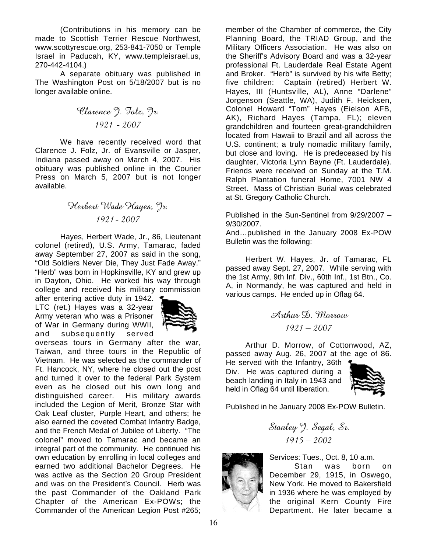(Contributions in his memory can be made to Scottish Terrier Rescue Northwest, www.scottyrescue.org, 253-841-7050 or Temple Israel in Paducah, KY, www.templeisrael.us, 270-442-4104.)

A separate obituary was published in The Washington Post on 5/18/2007 but is no longer available online.

Clarence J. Folz, Jr. 1921 - 2007

We have recently received word that Clarence J. Folz, Jr. of Evansville or Jasper, Indiana passed away on March 4, 2007. His obituary was published online in the Courier Press on March 5, 2007 but is not longer available.

#### Herbert Wade Hayes, Jr. 1921- 2007

Hayes, Herbert Wade, Jr., 86, Lieutenant colonel (retired), U.S. Army, Tamarac, faded away September 27, 2007 as said in the song, "Old Soldiers Never Die, They Just Fade Away." "Herb" was born in Hopkinsville, KY and grew up in Dayton, Ohio. He worked his way through college and received his military commission

after entering active duty in 1942. LTC (ret.) Hayes was a 32-year Army veteran who was a Prisoner of War in Germany during WWII, and subsequently served



overseas tours in Germany after the war, Taiwan, and three tours in the Republic of Vietnam. He was selected as the commander of Ft. Hancock, NY, where he closed out the post and turned it over to the federal Park System even as he closed out his own long and distinguished career. His military awards included the Legion of Merit, Bronze Star with Oak Leaf cluster, Purple Heart, and others; he also earned the coveted Combat Infantry Badge, and the French Medal of Jubilee of Liberty. "The colonel" moved to Tamarac and became an integral part of the community. He continued his own education by enrolling in local colleges and earned two additional Bachelor Degrees. He was active as the Section 20 Group President and was on the President's Council. Herb was the past Commander of the Oakland Park Chapter of the American Ex-POWs; the Commander of the American Legion Post #265;

member of the Chamber of commerce, the City Planning Board, the TRIAD Group, and the Military Officers Association. He was also on the Sheriff's Advisory Board and was a 32-year professional Ft. Lauderdale Real Estate Agent and Broker. "Herb" is survived by his wife Betty; five children: Captain (retired) Herbert W. Hayes, III (Huntsville, AL), Anne "Darlene" Jorgenson (Seattle, WA), Judith F. Heicksen, Colonel Howard "Tom" Hayes (Eielson AFB, AK), Richard Hayes (Tampa, FL); eleven grandchildren and fourteen great-grandchildren located from Hawaii to Brazil and all across the U.S. continent; a truly nomadic military family, but close and loving. He is predeceased by his daughter, Victoria Lynn Bayne (Ft. Lauderdale). Friends were received on Sunday at the T.M. Ralph Plantation funeral Home, 7001 NW 4 Street. Mass of Christian Burial was celebrated at St. Gregory Catholic Church.

Published in the Sun-Sentinel from 9/29/2007 – 9/30/2007.

And…published in the January 2008 Ex-POW Bulletin was the following:

Herbert W. Hayes, Jr. of Tamarac, FL passed away Sept. 27, 2007. While serving with the 1st Army, 9th Inf. Div., 60th Inf., 1st Btn., Co. A, in Normandy, he was captured and held in various camps. He ended up in Oflag 64.

Arthur D. Morrow 1921 – 2007

Arthur D. Morrow, of Cottonwood, AZ, passed away Aug. 26, 2007 at the age of 86.

He served with the Infantry, 36th Div. He was captured during a beach landing in Italy in 1943 and held in Oflag 64 until liberation.



Published in he January 2008 Ex-POW Bulletin.

Stanley J. Segal, Sr.  $1915 - 2002$ 



Services: Tues., Oct. 8, 10 a.m.

Stan was born on December 29, 1915, in Oswego, New York. He moved to Bakersfield in 1936 where he was employed by the original Kern County Fire Department. He later became a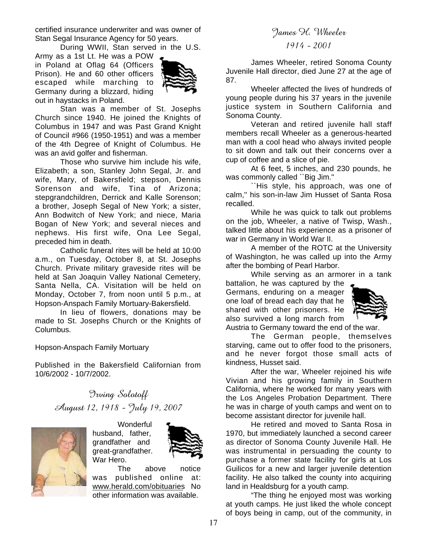certified insurance underwriter and was owner of Stan Segal Insurance Agency for 50 years.

During WWII, Stan served in the U.S.

Army as a 1st Lt. He was a POW in Poland at Oflag 64 (Officers Prison). He and 60 other officers escaped while marching to Germany during a blizzard, hiding out in haystacks in Poland.



Stan was a member of St. Josephs Church since 1940. He joined the Knights of Columbus in 1947 and was Past Grand Knight of Council #966 (1950-1951) and was a member of the 4th Degree of Knight of Columbus. He was an avid golfer and fisherman.

Those who survive him include his wife, Elizabeth; a son, Stanley John Segal, Jr. and wife, Mary, of Bakersfield; stepson, Dennis Sorenson and wife, Tina of Arizona; stepgrandchildren, Derrick and Kalle Sorenson; a brother, Joseph Segal of New York; a sister, Ann Bodwitch of New York; and niece, Maria Bogan of New York; and several nieces and nephews. His first wife, Ona Lee Segal, preceded him in death.

Catholic funeral rites will be held at 10:00 a.m., on Tuesday, October 8, at St. Josephs Church. Private military graveside rites will be held at San Joaquin Valley National Cemetery, Santa Nella, CA. Visitation will be held on Monday, October 7, from noon until 5 p.m., at Hopson-Anspach Family Mortuary-Bakersfield.

In lieu of flowers, donations may be made to St. Josephs Church or the Knights of Columbus.

Hopson-Anspach Family Mortuary

Published in the Bakersfield Californian from 10/6/2002 - 10/7/2002.

> Irving Solotoff August 12, 1918 - July 19, 2007



**Wonderful** husband, father, grandfather and great-grandfather. War Hero.



The above notice was published online at: www.herald.com/obituaries No other information was available.

#### James H. Wheeler

#### 1914 - 2001

James Wheeler, retired Sonoma County Juvenile Hall director, died June 27 at the age of 87.

Wheeler affected the lives of hundreds of young people during his 37 years in the juvenile justice system in Southern California and Sonoma County.

Veteran and retired juvenile hall staff members recall Wheeler as a generous-hearted man with a cool head who always invited people to sit down and talk out their concerns over a cup of coffee and a slice of pie.

At 6 feet, 5 inches, and 230 pounds, he was commonly called ``Big Jim.''

``His style, his approach, was one of calm,'' his son-in-law Jim Husset of Santa Rosa recalled.

While he was quick to talk out problems on the job, Wheeler, a native of Twisp, Wash., talked little about his experience as a prisoner of war in Germany in World War II.

A member of the ROTC at the University of Washington, he was called up into the Army after the bombing of Pearl Harbor.

While serving as an armorer in a tank

battalion, he was captured by the Germans, enduring on a meager one loaf of bread each day that he shared with other prisoners. He also survived a long march from



Austria to Germany toward the end of the war.

The German people, themselves starving, came out to offer food to the prisoners, and he never forgot those small acts of kindness, Husset said.

After the war, Wheeler rejoined his wife Vivian and his growing family in Southern California, where he worked for many years with the Los Angeles Probation Department. There he was in charge of youth camps and went on to become assistant director for juvenile hall.

He retired and moved to Santa Rosa in 1970, but immediately launched a second career as director of Sonoma County Juvenile Hall. He was instrumental in persuading the county to purchase a former state facility for girls at Los Guilicos for a new and larger juvenile detention facility. He also talked the county into acquiring land in Healdsburg for a youth camp.

"The thing he enjoyed most was working at youth camps. He just liked the whole concept of boys being in camp, out of the community, in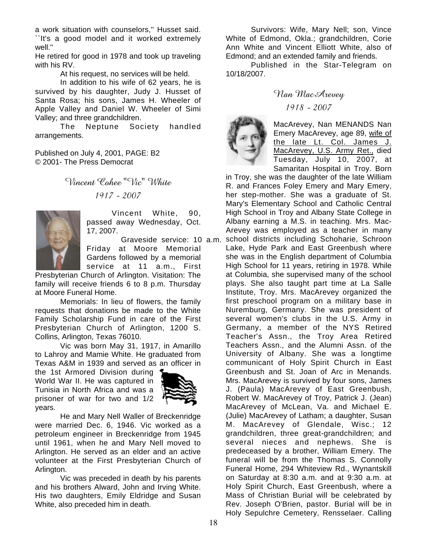a work situation with counselors,'' Husset said. ``It's a good model and it worked extremely well.''

He retired for good in 1978 and took up traveling with his RV.

At his request, no services will be held.

In addition to his wife of 62 years, he is survived by his daughter, Judy J. Husset of Santa Rosa; his sons, James H. Wheeler of Apple Valley and Daniel W. Wheeler of Simi Valley; and three grandchildren.

The Neptune Society handled arrangements.

Published on July 4, 2001, PAGE: B2 © 2001- The Press Democrat

> Vincent Cohee "Vic" White 1917 - 2007



Vincent White, 90, passed away Wednesday, Oct. 17, 2007.

 Graveside service: 10 a.m. Friday at Moore Memorial Gardens followed by a memorial service at 11 a.m., First

Presbyterian Church of Arlington. Visitation: The family will receive friends 6 to 8 p.m. Thursday at Moore Funeral Home.

Memorials: In lieu of flowers, the family requests that donations be made to the White Family Scholarship Fund in care of the First Presbyterian Church of Arlington, 1200 S. Collins, Arlington, Texas 76010.

Vic was born May 31, 1917, in Amarillo to Lahroy and Mamie White. He graduated from Texas A&M in 1939 and served as an officer in

the 1st Armored Division during World War II. He was captured in Tunisia in North Africa and was a prisoner of war for two and 1/2 years.



He and Mary Nell Waller of Breckenridge were married Dec. 6, 1946. Vic worked as a petroleum engineer in Breckenridge from 1945 until 1961, when he and Mary Nell moved to Arlington. He served as an elder and an active volunteer at the First Presbyterian Church of Arlington.

Vic was preceded in death by his parents and his brothers Alward, John and Irving White. His two daughters, Emily Eldridge and Susan White, also preceded him in death.

Survivors: Wife, Mary Nell; son, Vince White of Edmond, Okla.; grandchildren, Corie Ann White and Vincent Elliott White, also of Edmond; and an extended family and friends.

Published in the Star-Telegram on 10/18/2007.

#### Nan MacArevey

#### 1918 - 2007



MacArevey, Nan MENANDS Nan Emery MacArevey, age 89, wife of the late Lt. Col. James J. MacArevey, U.S. Army Ret., died Tuesday, July 10, 2007, at Samaritan Hospital in Troy. Born

in Troy, she was the daughter of the late William R. and Frances Foley Emery and Mary Emery, her step-mother. She was a graduate of St. Mary's Elementary School and Catholic Central High School in Troy and Albany State College in Albany earning a M.S. in teaching. Mrs. Mac-Arevey was employed as a teacher in many school districts including Schoharie, Schroon Lake, Hyde Park and East Greenbush where she was in the English department of Columbia High School for 11 years, retiring in 1978. While at Columbia, she supervised many of the school plays. She also taught part time at La Salle Institute, Troy. Mrs. MacArevey organized the first preschool program on a military base in Nuremburg, Germany. She was president of several women's clubs in the U.S. Army in Germany, a member of the NYS Retired Teacher's Assn., the Troy Area Retired Teachers Assn., and the Alumni Assn. of the University of Albany. She was a longtime communicant of Holy Spirit Church in East Greenbush and St. Joan of Arc in Menands. Mrs. MacArevey is survived by four sons, James J. (Paula) MacArevey of East Greenbush, Robert W. MacArevey of Troy, Patrick J. (Jean) MacArevey of McLean, Va. and Michael E. (Julie) MacArevey of Latham; a daughter, Susan M. MacArevey of Glendale, Wisc.; 12 grandchildren, three great-grandchildren; and several nieces and nephews. She is predeceased by a brother, William Emery. The funeral will be from the Thomas S. Connolly Funeral Home, 294 Whiteview Rd., Wynantskill on Saturday at 8:30 a.m. and at 9:30 a.m. at Holy Spirit Church, East Greenbush, where a Mass of Christian Burial will be celebrated by Rev. Joseph O'Brien, pastor. Burial will be in Holy Sepulchre Cemetery, Rensselaer. Calling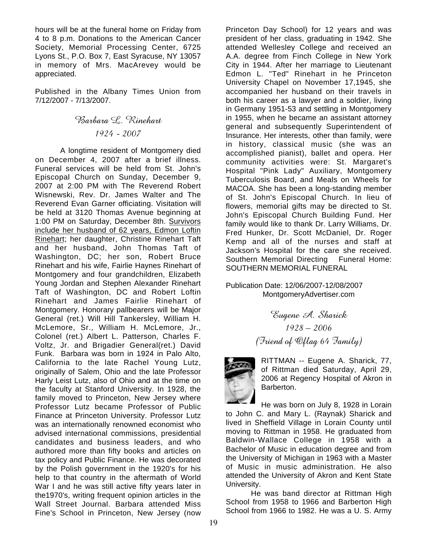hours will be at the funeral home on Friday from 4 to 8 p.m. Donations to the American Cancer Society, Memorial Processing Center, 6725 Lyons St., P.O. Box 7, East Syracuse, NY 13057 in memory of Mrs. MacArevey would be appreciated.

Published in the Albany Times Union from 7/12/2007 - 7/13/2007.

Barbara L. Rinehart 1924 - 2007

A longtime resident of Montgomery died on December 4, 2007 after a brief illness. Funeral services will be held from St. John's Episcopal Church on Sunday, December 9, 2007 at 2:00 PM with The Reverend Robert Wisnewski, Rev. Dr. James Walter and The Reverend Evan Garner officiating. Visitation will be held at 3120 Thomas Avenue beginning at 1:00 PM on Saturday, December 8th. Survivors include her husband of 62 years, Edmon Loftin Rinehart; her daughter, Christine Rinehart Taft and her husband, John Thomas Taft of Washington, DC; her son, Robert Bruce Rinehart and his wife, Fairlie Haynes Rinehart of Montgomery and four grandchildren, Elizabeth Young Jordan and Stephen Alexander Rinehart Taft of Washington, DC and Robert Loftin Rinehart and James Fairlie Rinehart of Montgomery. Honorary pallbearers will be Major General (ret.) Will Hill Tankersley, William H. McLemore, Sr., William H. McLemore, Jr., Colonel (ret.) Albert L. Patterson, Charles F. Voltz, Jr. and Brigadier General(ret.) David Funk. Barbara was born in 1924 in Palo Alto, California to the late Rachel Young Lutz, originally of Salem, Ohio and the late Professor Harly Leist Lutz, also of Ohio and at the time on the faculty at Stanford University. In 1928, the family moved to Princeton, New Jersey where Professor Lutz became Professor of Public Finance at Princeton University. Professor Lutz was an internationally renowned economist who advised international commissions, presidential candidates and business leaders, and who authored more than fifty books and articles on tax policy and Public Finance. He was decorated by the Polish government in the 1920's for his help to that country in the aftermath of World War I and he was still active fifty years later in the1970's, writing frequent opinion articles in the Wall Street Journal. Barbara attended Miss Fine's School in Princeton, New Jersey (now

Princeton Day School) for 12 years and was president of her class, graduating in 1942. She attended Wellesley College and received an A.A. degree from Finch College in New York City in 1944. After her marriage to Lieutenant Edmon L. "Ted" Rinehart in he Princeton University Chapel on November 17,1945, she accompanied her husband on their travels in both his career as a lawyer and a soldier, living in Germany 1951-53 and settling in Montgomery in 1955, when he became an assistant attorney general and subsequently Superintendent of Insurance. Her interests, other than family, were in history, classical music (she was an accomplished pianist), ballet and opera. Her community activities were: St. Margaret's Hospital "Pink Lady" Auxiliary, Montgomery Tuberculosis Board, and Meals on Wheels for MACOA. She has been a long-standing member of St. John's Episcopal Church. In lieu of flowers, memorial gifts may be directed to St. John's Episcopal Church Building Fund. Her family would like to thank Dr. Larry Williams, Dr. Fred Hunker, Dr. Scott McDaniel, Dr. Roger Kemp and all of the nurses and staff at Jackson's Hospital for the care she received. Southern Memorial Directing Funeral Home: SOUTHERN MEMORIAL FUNERAL

Publication Date: 12/06/2007-12/08/2007 MontgomeryAdvertiser.com

> Eugene A. Sharick 1928 – 2006 (Friend of Oflag 64 Family)



RITTMAN -- Eugene A. Sharick, 77, of Rittman died Saturday, April 29, 2006 at Regency Hospital of Akron in Barberton.

He was born on July 8, 1928 in Lorain to John C. and Mary L. (Raynak) Sharick and lived in Sheffield Village in Lorain County until moving to Rittman in 1958. He graduated from Baldwin-Wallace College in 1958 with a Bachelor of Music in education degree and from the University of Michigan in 1963 with a Master of Music in music administration. He also attended the University of Akron and Kent State University.

He was band director at Rittman High School from 1958 to 1966 and Barberton High School from 1966 to 1982. He was a U. S. Army